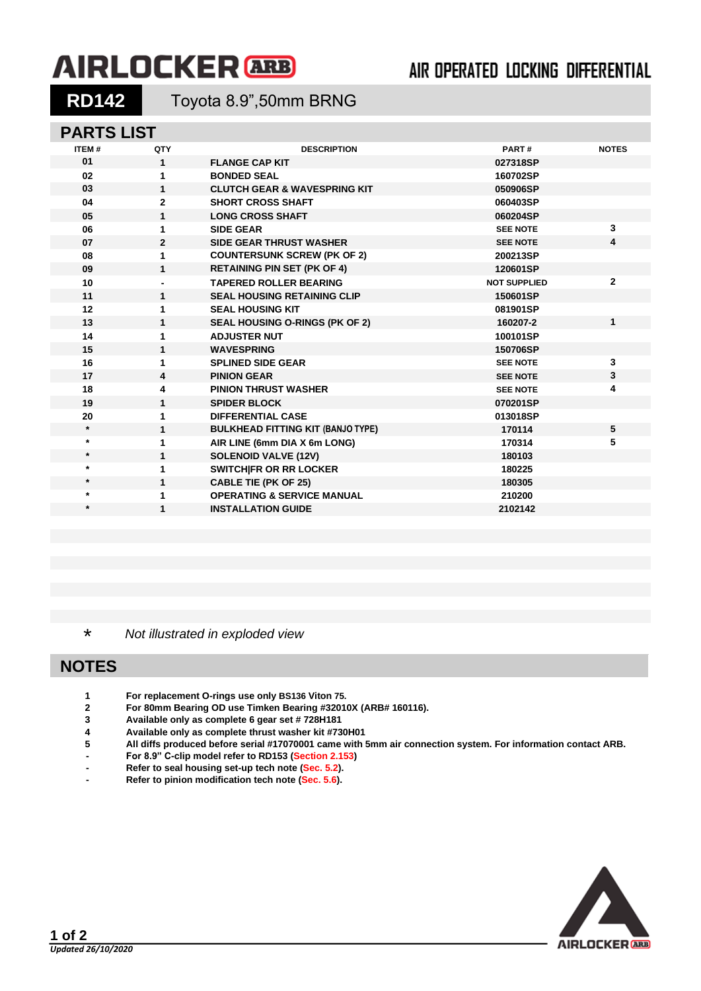# **AIRLOCKER** ARB

## AIR OPERATED LOCKING DIFFERENTIAL

**RD142** Toyota 8.9",50mm BRNG

### **PARTS LIST**

| <b>ITEM#</b> | QTY            | <b>DESCRIPTION</b>                       | PART#               | <b>NOTES</b> |
|--------------|----------------|------------------------------------------|---------------------|--------------|
| 01           | 1              | <b>FLANGE CAP KIT</b>                    | 027318SP            |              |
| 02           | 1              | <b>BONDED SEAL</b>                       | 160702SP            |              |
| 03           | 1              | <b>CLUTCH GEAR &amp; WAVESPRING KIT</b>  | 050906SP            |              |
| 04           | $\overline{2}$ | <b>SHORT CROSS SHAFT</b>                 | 060403SP            |              |
| 05           | 1              | <b>LONG CROSS SHAFT</b>                  | 060204SP            |              |
| 06           | 1              | <b>SIDE GEAR</b>                         | <b>SEE NOTE</b>     | 3            |
| 07           | $\mathbf{2}$   | <b>SIDE GEAR THRUST WASHER</b>           | <b>SEE NOTE</b>     | 4            |
| 08           | 1              | <b>COUNTERSUNK SCREW (PK OF 2)</b>       | 200213SP            |              |
| 09           | 1              | <b>RETAINING PIN SET (PK OF 4)</b>       | 120601SP            |              |
| 10           |                | <b>TAPERED ROLLER BEARING</b>            | <b>NOT SUPPLIED</b> | $\mathbf{2}$ |
| 11           | 1              | <b>SEAL HOUSING RETAINING CLIP</b>       | 150601SP            |              |
| 12           | 1              | <b>SEAL HOUSING KIT</b>                  | 081901SP            |              |
| 13           | 1              | <b>SEAL HOUSING O-RINGS (PK OF 2)</b>    | 160207-2            | $\mathbf{1}$ |
| 14           | 1              | <b>ADJUSTER NUT</b>                      | 100101SP            |              |
| 15           | 1              | <b>WAVESPRING</b>                        | 150706SP            |              |
| 16           | 1              | <b>SPLINED SIDE GEAR</b>                 | <b>SEE NOTE</b>     | 3            |
| 17           | 4              | <b>PINION GEAR</b>                       | <b>SEE NOTE</b>     | 3            |
| 18           | 4              | <b>PINION THRUST WASHER</b>              | <b>SEE NOTE</b>     | 4            |
| 19           | $\mathbf{1}$   | <b>SPIDER BLOCK</b>                      | 070201SP            |              |
| 20           | 1              | <b>DIFFERENTIAL CASE</b>                 | 013018SP            |              |
| $\star$      | 1              | <b>BULKHEAD FITTING KIT (BANJO TYPE)</b> | 170114              | 5            |
| $\star$      | 1              | AIR LINE (6mm DIA X 6m LONG)             | 170314              | 5            |
| $\star$      | 1              | <b>SOLENOID VALVE (12V)</b>              | 180103              |              |
| $\star$      | 1              | SWITCH FR OR RR LOCKER                   | 180225              |              |
| $\star$      | 1              | <b>CABLE TIE (PK OF 25)</b>              | 180305              |              |
| $\star$      | 1              | <b>OPERATING &amp; SERVICE MANUAL</b>    | 210200              |              |
| $\star$      | 1              | <b>INSTALLATION GUIDE</b>                | 2102142             |              |
|              |                |                                          |                     |              |

\* *Not illustrated in exploded view*

### **NOTES**

- **1 For replacement O-rings use only BS136 Viton 75.**
- **2 For 80mm Bearing OD use Timken Bearing #32010X (ARB# 160116).**
- **3 Available only as complete 6 gear set # 728H181**
- **4 Available only as complete thrust washer kit #730H01**
- **5 All diffs produced before serial #17070001 came with 5mm air connection system. For information contact ARB.**
- **- For 8.9" C-clip model refer to RD153 [\(Section 2.153\)](2-RD153.pdf)**
- **- Refer to seal housing set-up tech note [\(Sec. 5.2\)](5-02.pdf).**
- **- Refer to pinion modification tech note [\(Sec. 5.6\)](5-06.pdf).**